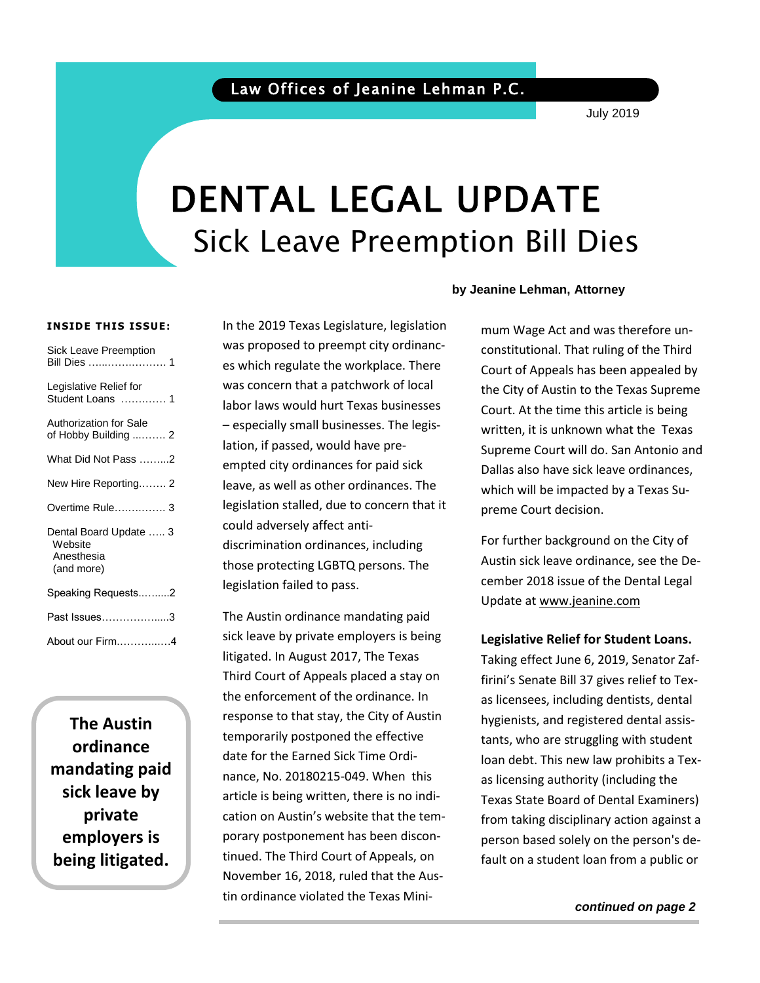### Law Offices of Jeanine Lehman P.C.

July 2019

# DENTAL LEGAL UPDATE Sick Leave Preemption Bill Dies

### **INSIDE THIS ISSUE:**

Sick Leave Preemption

| Bill Dies …………………… 1                                          |
|---------------------------------------------------------------|
| Legislative Relief for<br>Student Loans  1                    |
| <b>Authorization for Sale</b><br>of Hobby Building  2         |
| What Did Not Pass 2                                           |
| New Hire Reporting 2                                          |
| Overtime Rule 3                                               |
| Dental Board Update  3<br>Website<br>Anesthesia<br>(and more) |
| Speaking Requests2                                            |
| Past Issues……………….3                                           |
| About our Firm4                                               |

**The Austin ordinance mandating paid sick leave by private employers is being litigated.**

In the 2019 Texas Legislature, legislation was proposed to preempt city ordinances which regulate the workplace. There was concern that a patchwork of local labor laws would hurt Texas businesses – especially small businesses. The legislation, if passed, would have preempted city ordinances for paid sick leave, as well as other ordinances. The legislation stalled, due to concern that it could adversely affect antidiscrimination ordinances, including those protecting LGBTQ persons. The legislation failed to pass.

The Austin ordinance mandating paid sick leave by private employers is being litigated. In August 2017, The Texas Third Court of Appeals placed a stay on the enforcement of the ordinance. In response to that stay, the City of Austin temporarily postponed the effective date for the Earned Sick Time Ordinance, No. 20180215-049. When this article is being written, there is no indication on Austin's website that the temporary postponement has been discontinued. The Third Court of Appeals, on November 16, 2018, ruled that the Austin ordinance violated the Texas Mini-

### **by Jeanine Lehman, Attorney**

mum Wage Act and was therefore unconstitutional. That ruling of the Third Court of Appeals has been appealed by the City of Austin to the Texas Supreme Court. At the time this article is being written, it is unknown what the Texas Supreme Court will do. San Antonio and Dallas also have sick leave ordinances, which will be impacted by a Texas Supreme Court decision.

For further background on the City of Austin sick leave ordinance, see the December 2018 issue of the Dental Legal Update a[t www.jeanine.com](http://www.jeanine.com/)

### **Legislative Relief for Student Loans.**

Taking effect June 6, 2019, Senator Zaffirini's Senate Bill 37 gives relief to Texas licensees, including dentists, dental hygienists, and registered dental assistants, who are struggling with student loan debt. This new law prohibits a Texas licensing authority (including the Texas State Board of Dental Examiners) from taking disciplinary action against a person based solely on the person's default on a student loan from a public or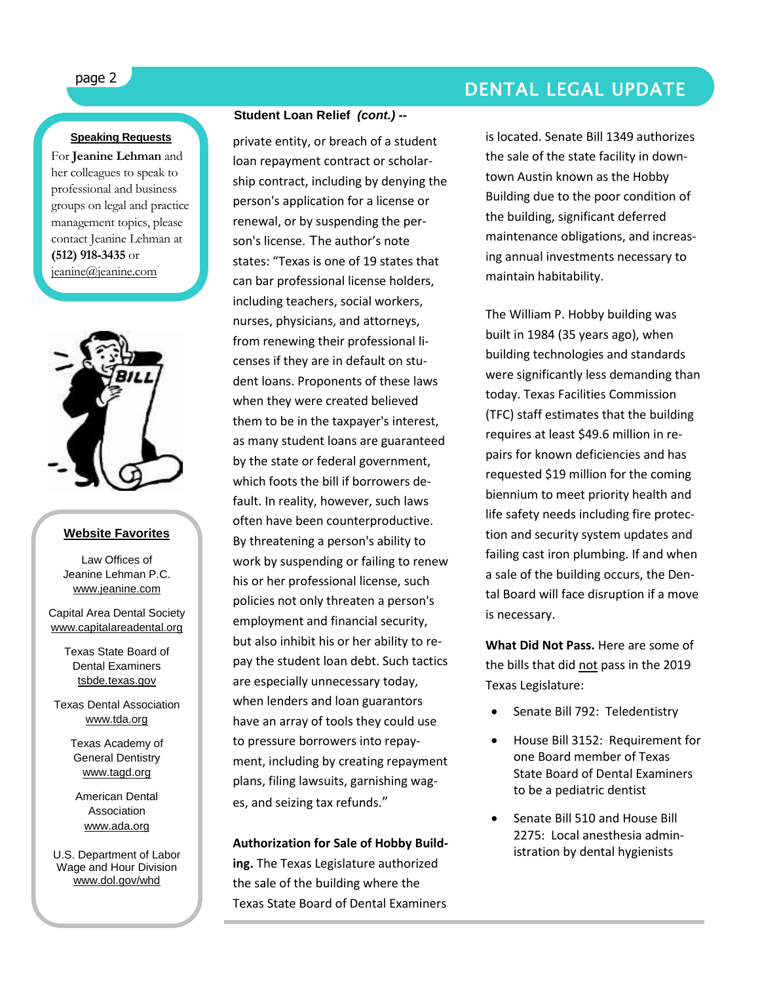### **Speaking Requests**

For **Jeanine Lehman** and her colleagues to speak to professional and business groups on legal and practice management topics, please contact Jeanine Lehman at **(512) 918-3435** or [jeanine@jeanine.com](mailto:jeanine@jeanine.com)

ì



### **Website Favorites**

Law Offices of Jeanine Lehman P.C. [www.jeanine.com](http://www.jeanine.com/)

Capital Area Dental Society [www.capitalareadental.org](http://www.capitalareadental.org/)

> Texas State Board of Dental Examiners tsbde.texas.gov

Texas Dental Association [www.tda.org](http://www.tda.org/)

> Texas Academy of General Dentistry [www.tagd.org](http://www.tagd.org/)

American Dental Association [www.ada.org](http://www.ada.org/)

U.S. Department of Labor Wage and Hour Division [www.dol.gov/whd](http://www.dol.gov/whd)

### **Student Loan Relief** *(cont.) --*

private entity, or breach of a student loan repayment contract or scholarship contract, including by denying the person's application for a license or renewal, or by suspending the person's license. The author's note states: "Texas is one of 19 states that can bar professional license holders, including teachers, social workers, nurses, physicians, and attorneys, from renewing their professional licenses if they are in default on student loans. Proponents of these laws when they were created believed them to be in the taxpayer's interest, as many student loans are guaranteed by the state or federal government, which foots the bill if borrowers default. In reality, however, such laws often have been counterproductive. By threatening a person's ability to work by suspending or failing to renew his or her professional license, such policies not only threaten a person's employment and financial security, but also inhibit his or her ability to repay the student loan debt. Such tactics are especially unnecessary today, when lenders and loan guarantors have an array of tools they could use to pressure borrowers into repayment, including by creating repayment plans, filing lawsuits, garnishing wages, and seizing tax refunds."

**Authorization for Sale of Hobby Building.** The Texas Legislature authorized the sale of the building where the Texas State Board of Dental Examiners

## page 2 DENTAL LEGAL UPDATE

is located. Senate Bill 1349 authorizes the sale of the state facility in downtown Austin known as the Hobby Building due to the poor condition of the building, significant deferred maintenance obligations, and increasing annual investments necessary to maintain habitability.

The William P. Hobby building was built in 1984 (35 years ago), when building technologies and standards were significantly less demanding than today. Texas Facilities Commission (TFC) staff estimates that the building requires at least \$49.6 million in repairs for known deficiencies and has requested \$19 million for the coming biennium to meet priority health and life safety needs including fire protection and security system updates and failing cast iron plumbing. If and when a sale of the building occurs, the Dental Board will face disruption if a move is necessary.

**What Did Not Pass.** Here are some of the bills that did not pass in the 2019 Texas Legislature:

- Senate Bill 792: Teledentistry
- House Bill 3152: Requirement for one Board member of Texas State Board of Dental Examiners to be a pediatric dentist
- Senate Bill 510 and House Bill 2275: Local anesthesia administration by dental hygienists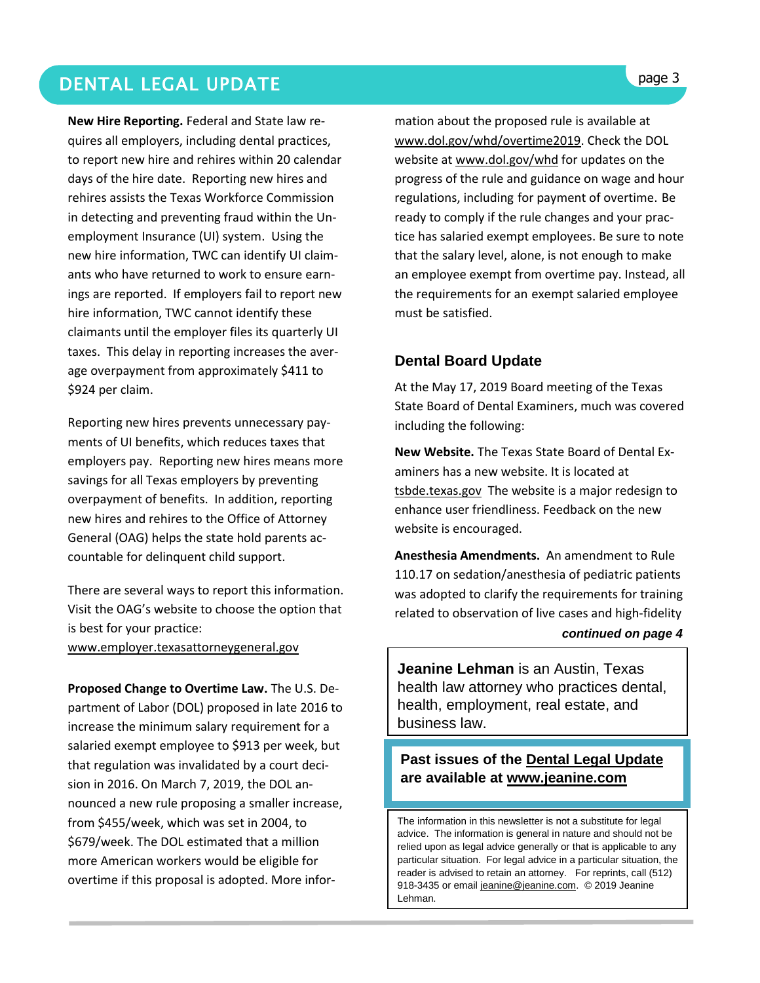### **DENTAL LEGAL UPDATE Superior and the set of the set of the set of the set of the set of the set of the set of the set of the set of the set of the set of the set of the set of the set of the set of the set of the set of**

**New Hire Reporting.** Federal and State law requires all employers, including dental practices, to report new hire and rehires within 20 calendar days of the hire date. Reporting new hires and rehires assists the Texas Workforce Commission in detecting and preventing fraud within the Unemployment Insurance (UI) system. Using the new hire information, TWC can identify UI claimants who have returned to work to ensure earnings are reported. If employers fail to report new hire information, TWC cannot identify these claimants until the employer files its quarterly UI taxes. This delay in reporting increases the average overpayment from approximately \$411 to \$924 per claim.

Reporting new hires prevents unnecessary payments of UI benefits, which reduces taxes that employers pay. Reporting new hires means more savings for all Texas employers by preventing overpayment of benefits. In addition, reporting new hires and rehires to the Office of Attorney General (OAG) helps the state hold parents accountable for delinquent child support.

There are several ways to report this information. Visit the OAG's website to choose the option that is best for your practice:

[www.employer.texasattorneygeneral.gov](http://www.employer.texasattorneygeneral.gov/)

**Proposed Change to Overtime Law.** The U.S. Department of Labor (DOL) proposed in late 2016 to increase the minimum salary requirement for a salaried exempt employee to \$913 per week, but that regulation was invalidated by a court decision in 2016. On March 7, 2019, the DOL announced a new rule proposing a smaller increase, from \$455/week, which was set in 2004, to \$679/week. The DOL estimated that a million more American workers would be eligible for overtime if this proposal is adopted. More infor-

mation about the proposed rule is available at [www.dol.gov/whd/overtime2019.](http://www.dol.gov/whd/overtime2019) Check the DOL website at [www.dol.gov/whd](http://www.dol.gov/whd) for updates on the progress of the rule and guidance on wage and hour regulations, including for payment of overtime. Be ready to comply if the rule changes and your practice has salaried exempt employees. Be sure to note that the salary level, alone, is not enough to make an employee exempt from overtime pay. Instead, all the requirements for an exempt salaried employee must be satisfied.

### **Dental Board Update**

At the May 17, 2019 Board meeting of the Texas State Board of Dental Examiners, much was covered including the following:

**New Website.** The Texas State Board of Dental Examiners has a new website. It is located at tsbde.texas.gov The website is a major redesign to enhance user friendliness. Feedback on the new website is encouraged.

**Anesthesia Amendments.** An amendment to Rule 110.17 on sedation/anesthesia of pediatric patients was adopted to clarify the requirements for training related to observation of live cases and high-fidelity

### *continued on page 4*

**Jeanine Lehman** is an Austin, Texas health law attorney who practices dental, health, employment, real estate, and business law.

### **Past issues of the Dental Legal Update are available at [www.jeanine.com](http://www.jeanine.com/)**

The information in this newsletter is not a substitute for legal advice. The information is general in nature and should not be relied upon as legal advice generally or that is applicable to any particular situation. For legal advice in a particular situation, the reader is advised to retain an attorney. For reprints, call (512) 918-3435 or email [jeanine@jeanine.com.](mailto:jeanine@jeanine.com) © 2019 Jeanine Lehman.